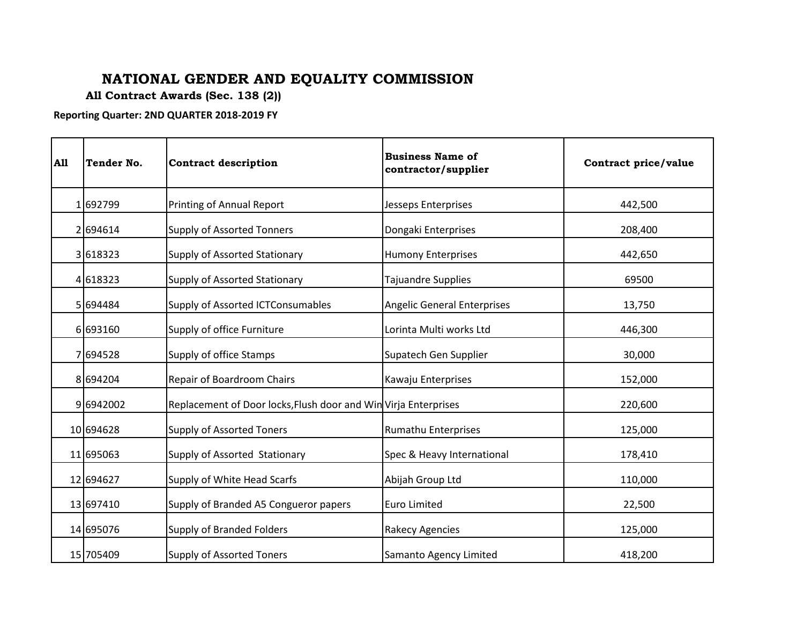## **NATIONAL GENDER AND EQUALITY COMMISSION**

**All Contract Awards (Sec. 138 (2))**

**Reporting Quarter: 2ND QUARTER 2018-2019 FY**

| <b>A11</b> | Tender No. | <b>Contract description</b>                                     | <b>Business Name of</b><br>contractor/supplier | Contract price/value |
|------------|------------|-----------------------------------------------------------------|------------------------------------------------|----------------------|
|            | 1692799    | Printing of Annual Report                                       | <b>Jesseps Enterprises</b>                     | 442,500              |
|            | 2694614    | <b>Supply of Assorted Tonners</b>                               | Dongaki Enterprises                            | 208,400              |
|            | 3618323    | Supply of Assorted Stationary                                   | <b>Humony Enterprises</b>                      | 442,650              |
|            | 4618323    | Supply of Assorted Stationary                                   | Tajuandre Supplies                             | 69500                |
|            | 5 694484   | Supply of Assorted ICTConsumables                               | <b>Angelic General Enterprises</b>             | 13,750               |
|            | 6693160    | Supply of office Furniture                                      | Lorinta Multi works Ltd                        | 446,300              |
|            | 7694528    | Supply of office Stamps                                         | Supatech Gen Supplier                          | 30,000               |
|            | 8694204    | Repair of Boardroom Chairs                                      | Kawaju Enterprises                             | 152,000              |
|            | 96942002   | Replacement of Door locks, Flush door and Win Virja Enterprises |                                                | 220,600              |
|            | 10 694628  | <b>Supply of Assorted Toners</b>                                | Rumathu Enterprises                            | 125,000              |
|            | 11 695063  | Supply of Assorted Stationary                                   | Spec & Heavy International                     | 178,410              |
|            | 12 694627  | Supply of White Head Scarfs                                     | Abijah Group Ltd                               | 110,000              |
|            | 13 697410  | Supply of Branded A5 Congueror papers                           | <b>Euro Limited</b>                            | 22,500               |
|            | 14 695076  | <b>Supply of Branded Folders</b>                                | <b>Rakecy Agencies</b>                         | 125,000              |
|            | 15 705409  | <b>Supply of Assorted Toners</b>                                | Samanto Agency Limited                         | 418,200              |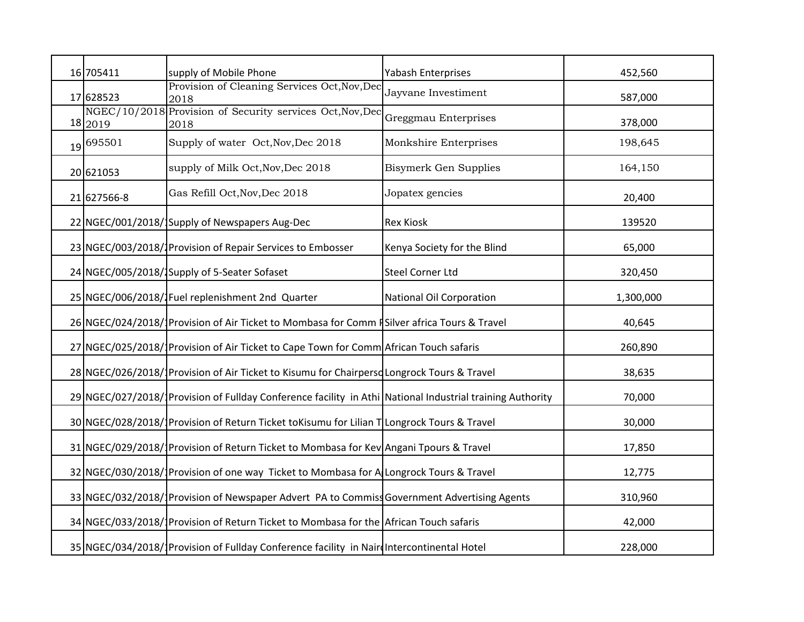| 16 705411   | supply of Mobile Phone                                                                                     | Yabash Enterprises              | 452,560   |
|-------------|------------------------------------------------------------------------------------------------------------|---------------------------------|-----------|
| 17 628523   | Provision of Cleaning Services Oct, Nov, Dec<br>2018                                                       | Jayvane Investiment             | 587,000   |
| 18 2019     | NGEC/10/2018 Provision of Security services Oct, Nov, Dec<br>2018                                          | Greggmau Enterprises            | 378,000   |
| 19 695501   | Supply of water Oct, Nov, Dec 2018                                                                         | Monkshire Enterprises           | 198,645   |
| 20 621053   | supply of Milk Oct, Nov, Dec 2018                                                                          | <b>Bisymerk Gen Supplies</b>    | 164,150   |
| 21 627566-8 | Gas Refill Oct, Nov, Dec 2018                                                                              | Jopatex gencies                 | 20,400    |
|             | 22 NGEC/001/2018/ Supply of Newspapers Aug-Dec                                                             | <b>Rex Kiosk</b>                | 139520    |
|             | 23 NGEC/003/2018/1 Provision of Repair Services to Embosser                                                | Kenya Society for the Blind     | 65,000    |
|             | 24 NGEC/005/2018/1 Supply of 5-Seater Sofaset                                                              | <b>Steel Corner Ltd</b>         | 320,450   |
|             | 25 NGEC/006/2018/1Fuel replenishment 2nd Quarter                                                           | <b>National Oil Corporation</b> | 1,300,000 |
|             | 26 NGEC/024/2018/1 Provision of Air Ticket to Mombasa for Comm #Silver africa Tours & Travel               |                                 | 40,645    |
|             | 27 NGEC/025/2018/1Provision of Air Ticket to Cape Town for Comm African Touch safaris                      |                                 | 260,890   |
|             | 28 NGEC/026/2018/1Provision of Air Ticket to Kisumu for Chairpersd Longrock Tours & Travel                 |                                 | 38,635    |
|             | 29 NGEC/027/2018/1 Provision of Fullday Conference facility in Athi National Industrial training Authority |                                 | 70,000    |
|             | 30 NGEC/028/2018/1 Provision of Return Ticket toKisumu for Lilian T Longrock Tours & Travel                |                                 | 30,000    |
|             | 31 NGEC/029/2018/1 Provision of Return Ticket to Mombasa for Kev Angani Tpours & Travel                    |                                 | 17,850    |
|             | 32 NGEC/030/2018/1Provision of one way Ticket to Mombasa for A Longrock Tours & Travel                     |                                 | 12,775    |
|             | 33 NGEC/032/2018/1Provision of Newspaper Advert PA to Commiss Government Advertising Agents                |                                 | 310,960   |
|             | 34 NGEC/033/2018/1Provision of Return Ticket to Mombasa for the African Touch safaris                      |                                 | 42,000    |
|             | 35 NGEC/034/2018/1Provision of Fullday Conference facility in NairdIntercontinental Hotel                  |                                 | 228,000   |